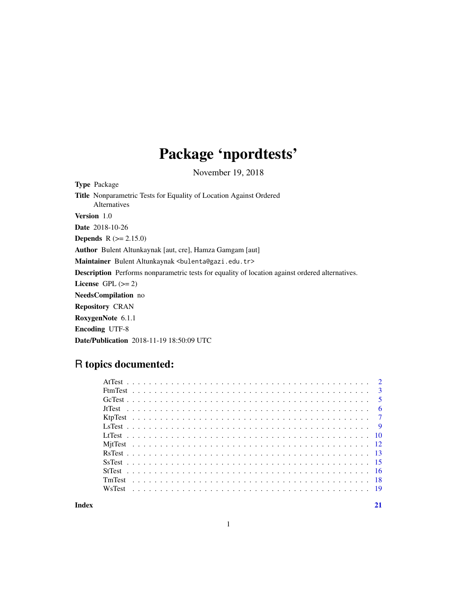# Package 'npordtests'

November 19, 2018

Type Package Title Nonparametric Tests for Equality of Location Against Ordered Alternatives Version 1.0 Date 2018-10-26 **Depends**  $R$  ( $>= 2.15.0$ ) Author Bulent Altunkaynak [aut, cre], Hamza Gamgam [aut] Maintainer Bulent Altunkaynak <br/>bulenta@gazi.edu.tr> Description Performs nonparametric tests for equality of location against ordered alternatives. License GPL  $(>= 2)$ NeedsCompilation no Repository CRAN RoxygenNote 6.1.1 Encoding UTF-8 Date/Publication 2018-11-19 18:50:09 UTC

# R topics documented:

**Index** [21](#page-20-0)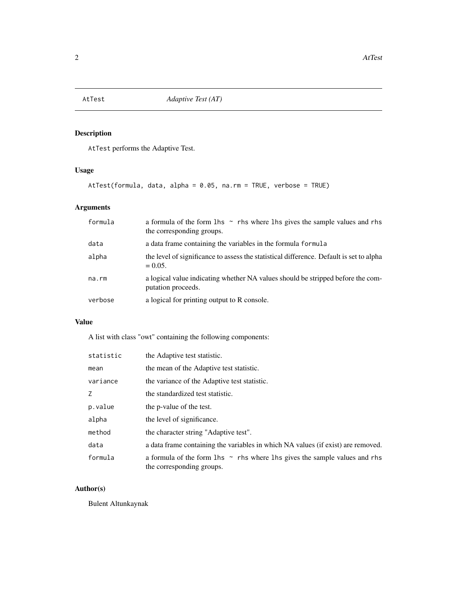<span id="page-1-0"></span>

AtTest performs the Adaptive Test.

## Usage

AtTest(formula, data, alpha = 0.05, na.rm = TRUE, verbose = TRUE)

## Arguments

| formula | a formula of the form $\ln s \sim$ rhs where $\ln s$ gives the sample values and rhs<br>the corresponding groups. |
|---------|-------------------------------------------------------------------------------------------------------------------|
| data    | a data frame containing the variables in the formula formula                                                      |
| alpha   | the level of significance to assess the statistical difference. Default is set to alpha<br>$= 0.05.$              |
| na.rm   | a logical value indicating whether NA values should be stripped before the com-<br>putation proceeds.             |
| verbose | a logical for printing output to R console.                                                                       |

## Value

A list with class "owt" containing the following components:

| statistic | the Adaptive test statistic.                                                                                  |
|-----------|---------------------------------------------------------------------------------------------------------------|
| mean      | the mean of the Adaptive test statistic.                                                                      |
| variance  | the variance of the Adaptive test statistic.                                                                  |
| Z         | the standardized test statistic.                                                                              |
| p.value   | the p-value of the test.                                                                                      |
| alpha     | the level of significance.                                                                                    |
| method    | the character string "Adaptive test".                                                                         |
| data      | a data frame containing the variables in which NA values (if exist) are removed.                              |
| formula   | a formula of the form 1 hs $\sim$ rhs where 1 hs gives the sample values and rhs<br>the corresponding groups. |

## Author(s)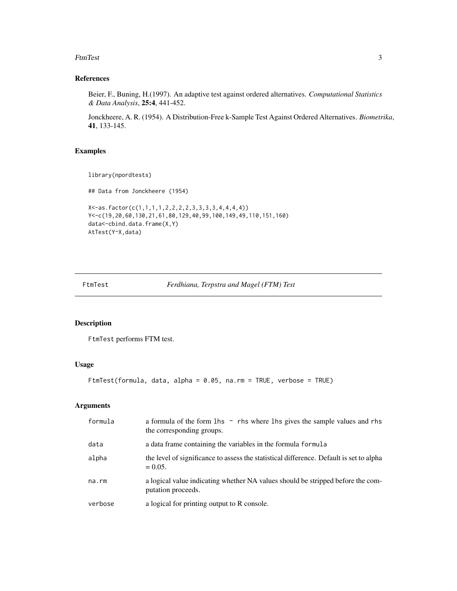<span id="page-2-0"></span>FtmTest 3

## References

Beier, F., Buning, H.(1997). An adaptive test against ordered alternatives. *Computational Statistics & Data Analysis*, 25:4, 441-452.

Jonckheere, A. R. (1954). A Distribution-Free k-Sample Test Against Ordered Alternatives. *Biometrika*, 41, 133-145.

## Examples

library(npordtests)

## Data from Jonckheere (1954)

```
X<-as.factor(c(1,1,1,1,2,2,2,2,3,3,3,3,4,4,4,4))
Y<-c(19,20,60,130,21,61,80,129,40,99,100,149,49,110,151,160)
data<-cbind.data.frame(X,Y)
AtTest(Y~X,data)
```
FtmTest *Ferdhiana, Terpstra and Magel (FTM) Test*

## Description

FtmTest performs FTM test.

#### Usage

FtmTest(formula, data, alpha = 0.05, na.rm = TRUE, verbose = TRUE)

| formula | a formula of the form $\ln s \sim$ rhs where $\ln s$ gives the sample values and rhs<br>the corresponding groups. |
|---------|-------------------------------------------------------------------------------------------------------------------|
| data    | a data frame containing the variables in the formula formula                                                      |
| alpha   | the level of significance to assess the statistical difference. Default is set to alpha<br>$= 0.05.$              |
| na.rm   | a logical value indicating whether NA values should be stripped before the com-<br>putation proceeds.             |
| verbose | a logical for printing output to R console.                                                                       |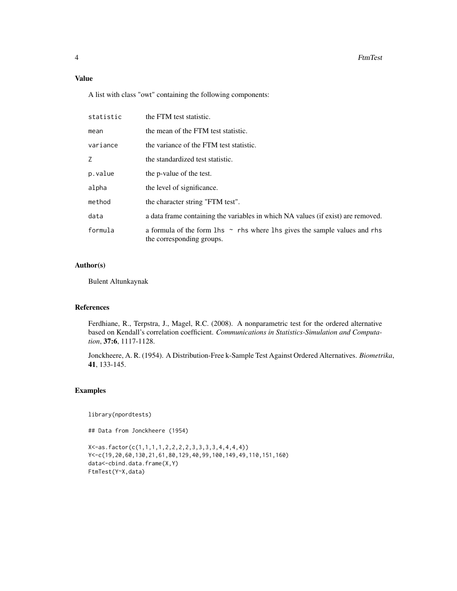## Value

A list with class "owt" containing the following components:

| statistic | the FTM test statistic.                                                                                       |
|-----------|---------------------------------------------------------------------------------------------------------------|
| mean      | the mean of the FTM test statistic.                                                                           |
| variance  | the variance of the FTM test statistic.                                                                       |
| Z.        | the standardized test statistic.                                                                              |
| p.value   | the p-value of the test.                                                                                      |
| alpha     | the level of significance.                                                                                    |
| method    | the character string "FTM test".                                                                              |
| data      | a data frame containing the variables in which NA values (if exist) are removed.                              |
| formula   | a formula of the form 1 hs $\sim$ rhs where 1 hs gives the sample values and rhs<br>the corresponding groups. |

#### Author(s)

Bulent Altunkaynak

#### References

Ferdhiane, R., Terpstra, J., Magel, R.C. (2008). A nonparametric test for the ordered alternative based on Kendall's correlation coefficient. *Communications in Statistics-Simulation and Computation*, 37:6, 1117-1128.

Jonckheere, A. R. (1954). A Distribution-Free k-Sample Test Against Ordered Alternatives. *Biometrika*, 41, 133-145.

#### Examples

library(npordtests)

## Data from Jonckheere (1954)

X<-as.factor(c(1,1,1,1,2,2,2,2,3,3,3,3,4,4,4,4)) Y<-c(19,20,60,130,21,61,80,129,40,99,100,149,49,110,151,160) data<-cbind.data.frame(X,Y) FtmTest(Y~X,data)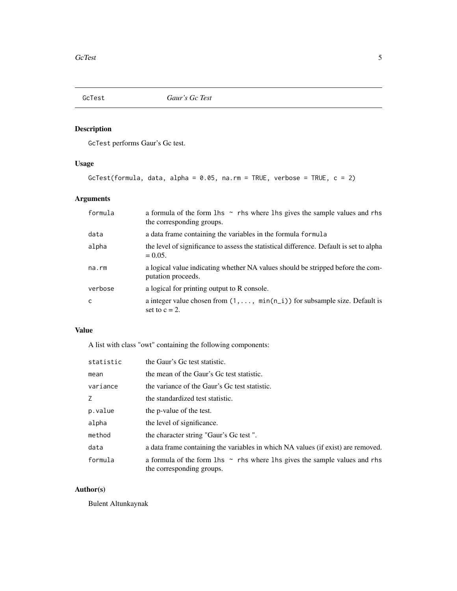<span id="page-4-0"></span>

GcTest performs Gaur's Gc test.

## Usage

```
GcTest(formula, data, alpha = 0.05, na.rm = TRUE, verbose = TRUE, c = 2)
```
## Arguments

| formula | a formula of the form $\ln s \sim$ rhs where $\ln s$ gives the sample values and rhs<br>the corresponding groups. |
|---------|-------------------------------------------------------------------------------------------------------------------|
| data    | a data frame containing the variables in the formula formula                                                      |
| alpha   | the level of significance to assess the statistical difference. Default is set to alpha<br>$= 0.05.$              |
| na.rm   | a logical value indicating whether NA values should be stripped before the com-<br>putation proceeds.             |
| verbose | a logical for printing output to R console.                                                                       |
| C       | a integer value chosen from $(1, \ldots, \min(n_i))$ for subsample size. Default is<br>set to $c = 2$ .           |

## Value

A list with class "owt" containing the following components:

| statistic | the Gaur's Gc test statistic.                                                                                     |
|-----------|-------------------------------------------------------------------------------------------------------------------|
| mean      | the mean of the Gaur's Gc test statistic.                                                                         |
| variance  | the variance of the Gaur's Gc test statistic.                                                                     |
| Z         | the standardized test statistic.                                                                                  |
| p.value   | the p-value of the test.                                                                                          |
| alpha     | the level of significance.                                                                                        |
| method    | the character string "Gaur's Gc test".                                                                            |
| data      | a data frame containing the variables in which NA values (if exist) are removed.                                  |
| formula   | a formula of the form $\ln s \sim$ rhs where $\ln s$ gives the sample values and rhs<br>the corresponding groups. |

## Author(s)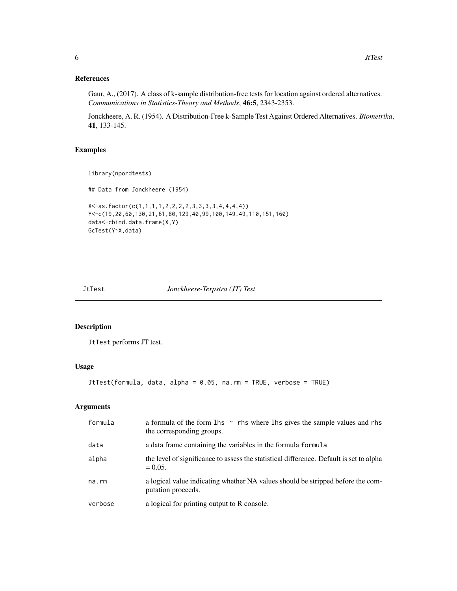#### References

Gaur, A., (2017). A class of k-sample distribution-free tests for location against ordered alternatives. *Communications in Statistics-Theory and Methods*, 46:5, 2343-2353.

Jonckheere, A. R. (1954). A Distribution-Free k-Sample Test Against Ordered Alternatives. *Biometrika*, 41, 133-145.

#### Examples

```
library(npordtests)
```
## Data from Jonckheere (1954)

```
X<-as.factor(c(1,1,1,1,2,2,2,2,3,3,3,3,4,4,4,4))
Y<-c(19,20,60,130,21,61,80,129,40,99,100,149,49,110,151,160)
data<-cbind.data.frame(X,Y)
GcTest(Y~X,data)
```
JtTest *Jonckheere-Terpstra (JT) Test*

### Description

JtTest performs JT test.

## Usage

```
JtTest(formula, data, alpha = 0.05, na.rm = TRUE, verbose = TRUE)
```

| formula | a formula of the form $\ln s \sim$ rhs where $\ln s$ gives the sample values and rhs<br>the corresponding groups. |
|---------|-------------------------------------------------------------------------------------------------------------------|
| data    | a data frame containing the variables in the formula formula                                                      |
| alpha   | the level of significance to assess the statistical difference. Default is set to alpha<br>$= 0.05.$              |
| na.rm   | a logical value indicating whether NA values should be stripped before the com-<br>putation proceeds.             |
| verbose | a logical for printing output to R console.                                                                       |

<span id="page-5-0"></span>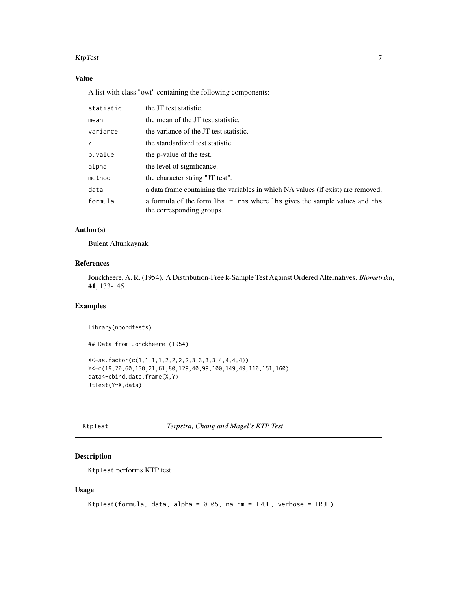#### <span id="page-6-0"></span>KtpTest 7

## Value

A list with class "owt" containing the following components:

| statistic | the JT test statistic.                                                                                        |
|-----------|---------------------------------------------------------------------------------------------------------------|
| mean      | the mean of the JT test statistic.                                                                            |
| variance  | the variance of the JT test statistic.                                                                        |
| Z         | the standardized test statistic.                                                                              |
| p.value   | the p-value of the test.                                                                                      |
| alpha     | the level of significance.                                                                                    |
| method    | the character string "JT test".                                                                               |
| data      | a data frame containing the variables in which NA values (if exist) are removed.                              |
| formula   | a formula of the form 1 hs $\sim$ rhs where 1 hs gives the sample values and rhs<br>the corresponding groups. |

## Author(s)

Bulent Altunkaynak

## References

Jonckheere, A. R. (1954). A Distribution-Free k-Sample Test Against Ordered Alternatives. *Biometrika*, 41, 133-145.

## Examples

library(npordtests) ## Data from Jonckheere (1954) X<-as.factor(c(1,1,1,1,2,2,2,2,3,3,3,3,4,4,4,4)) Y<-c(19,20,60,130,21,61,80,129,40,99,100,149,49,110,151,160) data<-cbind.data.frame(X,Y) JtTest(Y~X,data)

KtpTest *Terpstra, Chang and Magel's KTP Test*

## Description

KtpTest performs KTP test.

#### Usage

```
KtpTest(formula, data, alpha = 0.05, na.rm = TRUE, verbose = TRUE)
```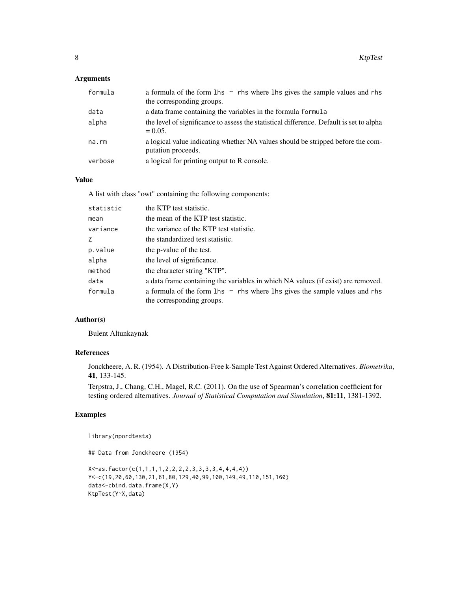#### Arguments

| formula | a formula of the form $\ln s \sim$ rhs where $\ln s$ gives the sample values and rhs<br>the corresponding groups. |
|---------|-------------------------------------------------------------------------------------------------------------------|
| data    | a data frame containing the variables in the formula formula                                                      |
| alpha   | the level of significance to assess the statistical difference. Default is set to alpha<br>$= 0.05.$              |
| na.rm   | a logical value indicating whether NA values should be stripped before the com-<br>putation proceeds.             |
| verbose | a logical for printing output to R console.                                                                       |

#### Value

A list with class "owt" containing the following components:

| statistic | the KTP test statistic.                                                                                       |
|-----------|---------------------------------------------------------------------------------------------------------------|
| mean      | the mean of the KTP test statistic.                                                                           |
| variance  | the variance of the KTP test statistic.                                                                       |
| Z         | the standardized test statistic.                                                                              |
| p.value   | the p-value of the test.                                                                                      |
| alpha     | the level of significance.                                                                                    |
| method    | the character string "KTP".                                                                                   |
| data      | a data frame containing the variables in which NA values (if exist) are removed.                              |
| formula   | a formula of the form 1 hs $\sim$ rhs where 1 hs gives the sample values and rhs<br>the corresponding groups. |

## Author(s)

Bulent Altunkaynak

#### References

Jonckheere, A. R. (1954). A Distribution-Free k-Sample Test Against Ordered Alternatives. *Biometrika*, 41, 133-145.

Terpstra, J., Chang, C.H., Magel, R.C. (2011). On the use of Spearman's correlation coefficient for testing ordered alternatives. *Journal of Statistical Computation and Simulation*, 81:11, 1381-1392.

## Examples

library(npordtests)

```
X<-as.factor(c(1,1,1,1,2,2,2,2,3,3,3,3,4,4,4,4))
Y<-c(19,20,60,130,21,61,80,129,40,99,100,149,49,110,151,160)
data<-cbind.data.frame(X,Y)
KtpTest(Y~X,data)
```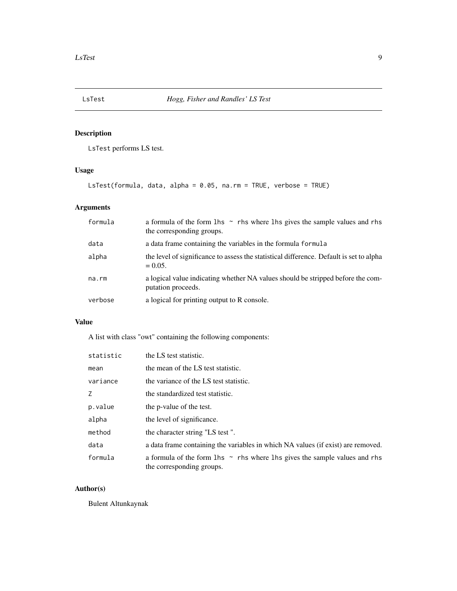<span id="page-8-0"></span>

LsTest performs LS test.

## Usage

LsTest(formula, data, alpha = 0.05, na.rm = TRUE, verbose = TRUE)

## Arguments

| formula | a formula of the form $\ln s \sim$ rhs where $\ln s$ gives the sample values and rhs<br>the corresponding groups. |
|---------|-------------------------------------------------------------------------------------------------------------------|
| data    | a data frame containing the variables in the formula formula                                                      |
| alpha   | the level of significance to assess the statistical difference. Default is set to alpha<br>$= 0.05.$              |
| na.rm   | a logical value indicating whether NA values should be stripped before the com-<br>putation proceeds.             |
| verbose | a logical for printing output to R console.                                                                       |

## Value

A list with class "owt" containing the following components:

| statistic | the LS test statistic.                                                                                        |
|-----------|---------------------------------------------------------------------------------------------------------------|
| mean      | the mean of the LS test statistic.                                                                            |
| variance  | the variance of the LS test statistic.                                                                        |
| Z         | the standardized test statistic.                                                                              |
| p.value   | the p-value of the test.                                                                                      |
| alpha     | the level of significance.                                                                                    |
| method    | the character string "LS test".                                                                               |
| data      | a data frame containing the variables in which NA values (if exist) are removed.                              |
| formula   | a formula of the form 1 hs $\sim$ rhs where 1 hs gives the sample values and rhs<br>the corresponding groups. |

## Author(s)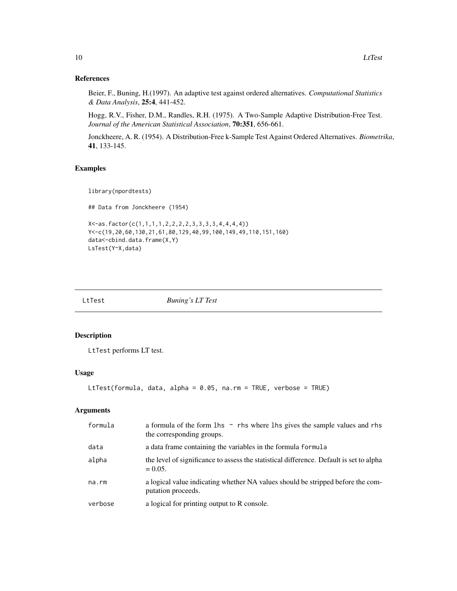#### References

Beier, F., Buning, H.(1997). An adaptive test against ordered alternatives. *Computational Statistics & Data Analysis*, 25:4, 441-452.

Hogg, R.V., Fisher, D.M., Randles, R.H. (1975). A Two-Sample Adaptive Distribution-Free Test. *Journal of the American Statistical Association*, 70:351, 656-661.

Jonckheere, A. R. (1954). A Distribution-Free k-Sample Test Against Ordered Alternatives. *Biometrika*, 41, 133-145.

## Examples

library(npordtests)

## Data from Jonckheere (1954)

```
X<-as.factor(c(1,1,1,1,2,2,2,2,3,3,3,3,4,4,4,4))
Y<-c(19,20,60,130,21,61,80,129,40,99,100,149,49,110,151,160)
data<-cbind.data.frame(X,Y)
LsTest(Y~X,data)
```
LtTest *Buning's LT Test*

### Description

LtTest performs LT test.

### Usage

```
LtTest(formula, data, alpha = 0.05, na.rm = TRUE, verbose = TRUE)
```

| formula | a formula of the form 1 hs $\sim$ rhs where 1 hs gives the sample values and rhs<br>the corresponding groups. |
|---------|---------------------------------------------------------------------------------------------------------------|
| data    | a data frame containing the variables in the formula formula                                                  |
| alpha   | the level of significance to assess the statistical difference. Default is set to alpha<br>$= 0.05.$          |
| na.rm   | a logical value indicating whether NA values should be stripped before the com-<br>putation proceeds.         |
| verbose | a logical for printing output to R console.                                                                   |

<span id="page-9-0"></span>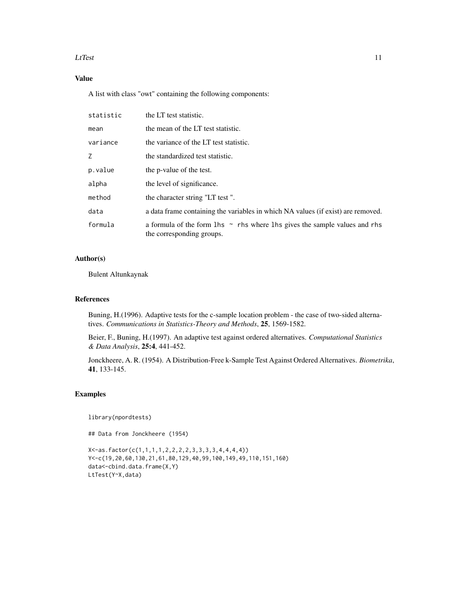#### $L$ fTest 11

## Value

A list with class "owt" containing the following components:

| statistic | the LT test statistic.                                                                                        |
|-----------|---------------------------------------------------------------------------------------------------------------|
| mean      | the mean of the LT test statistic.                                                                            |
| variance  | the variance of the LT test statistic.                                                                        |
| Z.        | the standardized test statistic.                                                                              |
| p.value   | the p-value of the test.                                                                                      |
| alpha     | the level of significance.                                                                                    |
| method    | the character string "LT test".                                                                               |
| data      | a data frame containing the variables in which NA values (if exist) are removed.                              |
| formula   | a formula of the form 1 hs $\sim$ rhs where 1 hs gives the sample values and rhs<br>the corresponding groups. |

## Author(s)

Bulent Altunkaynak

#### References

Buning, H.(1996). Adaptive tests for the c-sample location problem - the case of two-sided alternatives. *Communications in Statistics-Theory and Methods*, 25, 1569-1582.

Beier, F., Buning, H.(1997). An adaptive test against ordered alternatives. *Computational Statistics & Data Analysis*, 25:4, 441-452.

Jonckheere, A. R. (1954). A Distribution-Free k-Sample Test Against Ordered Alternatives. *Biometrika*, 41, 133-145.

#### Examples

library(npordtests)

```
X<-as.factor(c(1,1,1,1,2,2,2,2,3,3,3,3,4,4,4,4))
Y<-c(19,20,60,130,21,61,80,129,40,99,100,149,49,110,151,160)
data<-cbind.data.frame(X,Y)
LtTest(Y~X,data)
```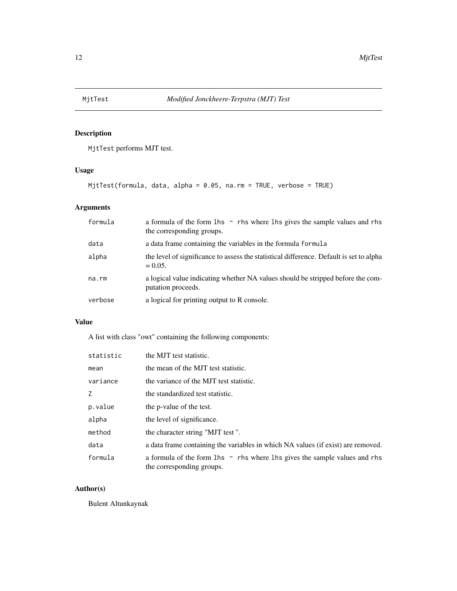<span id="page-11-0"></span>

MjtTest performs MJT test.

## Usage

MjtTest(formula, data, alpha = 0.05, na.rm = TRUE, verbose = TRUE)

## Arguments

| formula | a formula of the form $\ln s \sim$ rhs where $\ln s$ gives the sample values and rhs<br>the corresponding groups. |
|---------|-------------------------------------------------------------------------------------------------------------------|
| data    | a data frame containing the variables in the formula formula                                                      |
| alpha   | the level of significance to assess the statistical difference. Default is set to alpha<br>$= 0.05.$              |
| na.rm   | a logical value indicating whether NA values should be stripped before the com-<br>putation proceeds.             |
| verbose | a logical for printing output to R console.                                                                       |

## Value

A list with class "owt" containing the following components:

| statistic | the MJT test statistic.                                                                                       |
|-----------|---------------------------------------------------------------------------------------------------------------|
| mean      | the mean of the MJT test statistic.                                                                           |
| variance  | the variance of the MJT test statistic.                                                                       |
| Z         | the standardized test statistic.                                                                              |
| p.value   | the p-value of the test.                                                                                      |
| alpha     | the level of significance.                                                                                    |
| method    | the character string "MJT test".                                                                              |
| data      | a data frame containing the variables in which NA values (if exist) are removed.                              |
| formula   | a formula of the form 1 hs $\sim$ rhs where 1 hs gives the sample values and rhs<br>the corresponding groups. |

## Author(s)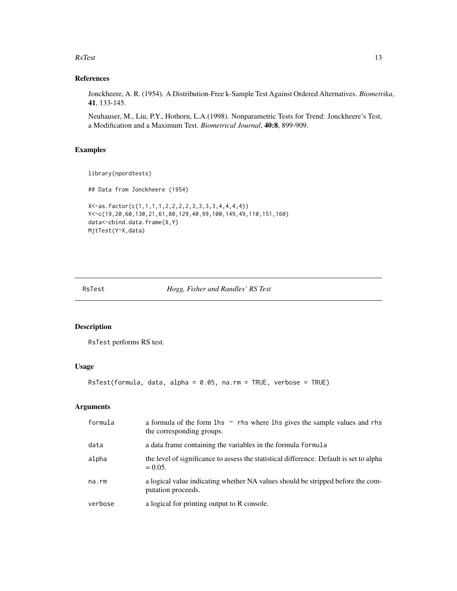#### <span id="page-12-0"></span> $\text{RsTest}$  13

#### References

Jonckheere, A. R. (1954). A Distribution-Free k-Sample Test Against Ordered Alternatives. *Biometrika*, 41, 133-145.

Neuhauser, M., Liu, P.Y., Hothorn, L.A.(1998). Nonparametric Tests for Trend: Jonckheere's Test, a Modification and a Maximum Test. *Biometrical Journal*, 40:8, 899-909.

#### Examples

```
library(npordtests)
```
## Data from Jonckheere (1954)

```
X<-as.factor(c(1,1,1,1,2,2,2,2,3,3,3,3,4,4,4,4))
Y<-c(19,20,60,130,21,61,80,129,40,99,100,149,49,110,151,160)
data<-cbind.data.frame(X,Y)
MjtTest(Y~X,data)
```
#### RsTest *Hogg, Fisher and Randles' RS Test*

#### Description

RsTest performs RS test.

## Usage

```
RsTest(formula, data, alpha = 0.05, na.rm = TRUE, verbose = TRUE)
```

| formula | a formula of the form $\ln s \sim$ rhs where $\ln s$ gives the sample values and rhs<br>the corresponding groups. |
|---------|-------------------------------------------------------------------------------------------------------------------|
| data    | a data frame containing the variables in the formula formula                                                      |
| alpha   | the level of significance to assess the statistical difference. Default is set to alpha<br>$= 0.05.$              |
| na.rm   | a logical value indicating whether NA values should be stripped before the com-<br>putation proceeds.             |
| verbose | a logical for printing output to R console.                                                                       |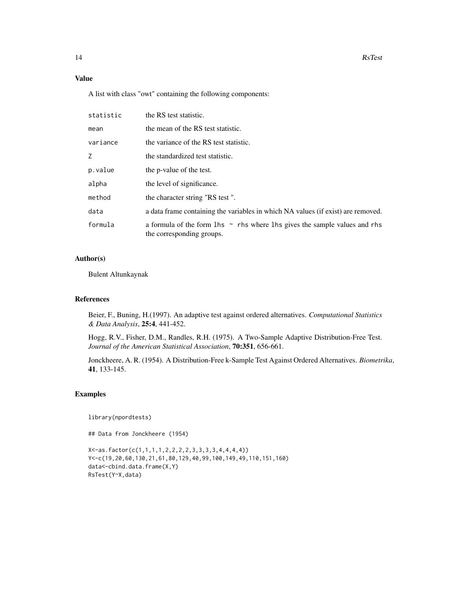## Value

A list with class "owt" containing the following components:

| statistic | the RS test statistic.                                                                                            |
|-----------|-------------------------------------------------------------------------------------------------------------------|
| mean      | the mean of the RS test statistic.                                                                                |
| variance  | the variance of the RS test statistic.                                                                            |
| Ζ         | the standardized test statistic.                                                                                  |
| p.value   | the p-value of the test.                                                                                          |
| alpha     | the level of significance.                                                                                        |
| method    | the character string "RS test".                                                                                   |
| data      | a data frame containing the variables in which NA values (if exist) are removed.                                  |
| formula   | a formula of the form $\ln s \sim$ rhs where $\ln s$ gives the sample values and rhs<br>the corresponding groups. |

#### Author(s)

Bulent Altunkaynak

#### References

Beier, F., Buning, H.(1997). An adaptive test against ordered alternatives. *Computational Statistics & Data Analysis*, 25:4, 441-452.

Hogg, R.V., Fisher, D.M., Randles, R.H. (1975). A Two-Sample Adaptive Distribution-Free Test. *Journal of the American Statistical Association*, 70:351, 656-661.

Jonckheere, A. R. (1954). A Distribution-Free k-Sample Test Against Ordered Alternatives. *Biometrika*, 41, 133-145.

#### Examples

library(npordtests)

```
X<-as.factor(c(1,1,1,1,2,2,2,2,3,3,3,3,4,4,4,4))
Y<-c(19,20,60,130,21,61,80,129,40,99,100,149,49,110,151,160)
data<-cbind.data.frame(X,Y)
RsTest(Y~X,data)
```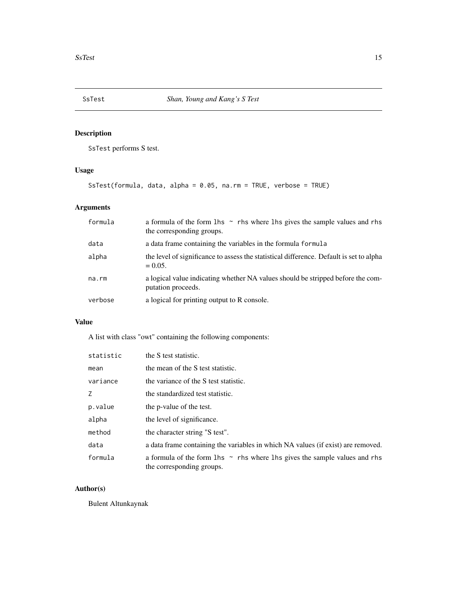<span id="page-14-0"></span>

SsTest performs S test.

## Usage

SsTest(formula, data, alpha = 0.05, na.rm = TRUE, verbose = TRUE)

## Arguments

| formula | a formula of the form $\ln s \sim$ rhs where $\ln s$ gives the sample values and rhs<br>the corresponding groups. |
|---------|-------------------------------------------------------------------------------------------------------------------|
| data    | a data frame containing the variables in the formula formula                                                      |
| alpha   | the level of significance to assess the statistical difference. Default is set to alpha<br>$= 0.05.$              |
| na.rm   | a logical value indicating whether NA values should be stripped before the com-<br>putation proceeds.             |
| verbose | a logical for printing output to R console.                                                                       |

## Value

A list with class "owt" containing the following components:

| statistic | the S test statistic.                                                                                         |
|-----------|---------------------------------------------------------------------------------------------------------------|
| mean      | the mean of the S test statistic.                                                                             |
| variance  | the variance of the S test statistic.                                                                         |
| Z         | the standardized test statistic.                                                                              |
| p.value   | the p-value of the test.                                                                                      |
| alpha     | the level of significance.                                                                                    |
| method    | the character string "S test".                                                                                |
| data      | a data frame containing the variables in which NA values (if exist) are removed.                              |
| formula   | a formula of the form 1 hs $\sim$ rhs where 1 hs gives the sample values and rhs<br>the corresponding groups. |

## Author(s)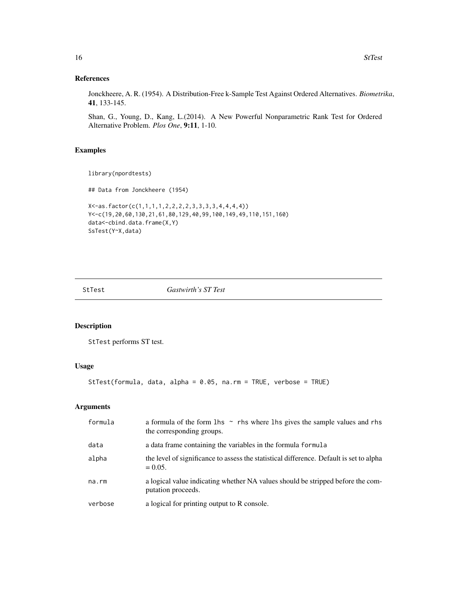#### References

Jonckheere, A. R. (1954). A Distribution-Free k-Sample Test Against Ordered Alternatives. *Biometrika*, 41, 133-145.

Shan, G., Young, D., Kang, L.(2014). A New Powerful Nonparametric Rank Test for Ordered Alternative Problem. *Plos One*, 9:11, 1-10.

## Examples

```
library(npordtests)
```
## Data from Jonckheere (1954)

```
X<-as.factor(c(1,1,1,1,2,2,2,2,3,3,3,3,4,4,4,4))
Y<-c(19,20,60,130,21,61,80,129,40,99,100,149,49,110,151,160)
data<-cbind.data.frame(X,Y)
SsTest(Y~X,data)
```
StTest *Gastwirth's ST Test*

#### Description

StTest performs ST test.

## Usage

```
StTest(formula, data, alpha = 0.05, na.rm = TRUE, verbose = TRUE)
```

| formula | a formula of the form $\ln s \sim$ rhs where $\ln s$ gives the sample values and rhs<br>the corresponding groups. |
|---------|-------------------------------------------------------------------------------------------------------------------|
| data    | a data frame containing the variables in the formula formula                                                      |
| alpha   | the level of significance to assess the statistical difference. Default is set to alpha<br>$= 0.05.$              |
| na.rm   | a logical value indicating whether NA values should be stripped before the com-<br>putation proceeds.             |
| verbose | a logical for printing output to R console.                                                                       |

<span id="page-15-0"></span>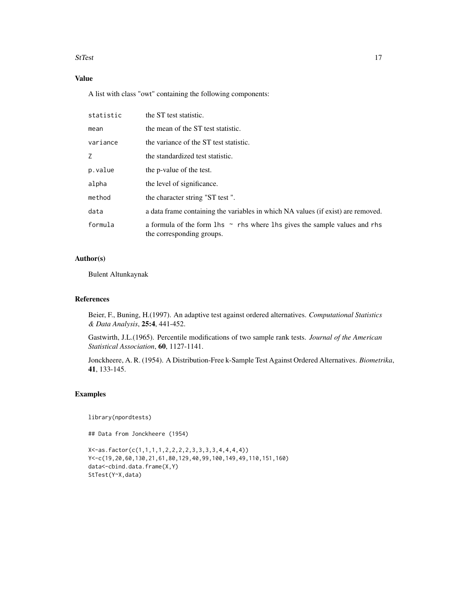#### StTest 17

## Value

A list with class "owt" containing the following components:

| statistic | the ST test statistic.                                                                                        |
|-----------|---------------------------------------------------------------------------------------------------------------|
| mean      | the mean of the ST test statistic.                                                                            |
| variance  | the variance of the ST test statistic.                                                                        |
| Ζ         | the standardized test statistic.                                                                              |
| p.value   | the p-value of the test.                                                                                      |
| alpha     | the level of significance.                                                                                    |
| method    | the character string "ST test".                                                                               |
| data      | a data frame containing the variables in which NA values (if exist) are removed.                              |
| formula   | a formula of the form 1 hs $\sim$ rhs where 1 hs gives the sample values and rhs<br>the corresponding groups. |

## Author(s)

Bulent Altunkaynak

#### References

Beier, F., Buning, H.(1997). An adaptive test against ordered alternatives. *Computational Statistics & Data Analysis*, 25:4, 441-452.

Gastwirth, J.L.(1965). Percentile modifications of two sample rank tests. *Journal of the American Statistical Association*, 60, 1127-1141.

Jonckheere, A. R. (1954). A Distribution-Free k-Sample Test Against Ordered Alternatives. *Biometrika*, 41, 133-145.

#### Examples

library(npordtests)

```
X<-as.factor(c(1,1,1,1,2,2,2,2,3,3,3,3,4,4,4,4))
Y<-c(19,20,60,130,21,61,80,129,40,99,100,149,49,110,151,160)
data<-cbind.data.frame(X,Y)
StTest(Y~X,data)
```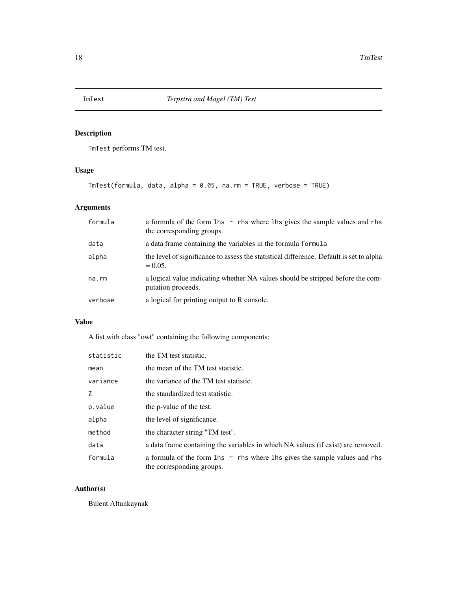<span id="page-17-0"></span>

TmTest performs TM test.

## Usage

TmTest(formula, data, alpha = 0.05, na.rm = TRUE, verbose = TRUE)

## Arguments

| formula | a formula of the form $\ln s \sim$ rhs where $\ln s$ gives the sample values and rhs<br>the corresponding groups. |
|---------|-------------------------------------------------------------------------------------------------------------------|
| data    | a data frame containing the variables in the formula formula                                                      |
| alpha   | the level of significance to assess the statistical difference. Default is set to alpha<br>$= 0.05.$              |
| na.rm   | a logical value indicating whether NA values should be stripped before the com-<br>putation proceeds.             |
| verbose | a logical for printing output to R console.                                                                       |

## Value

A list with class "owt" containing the following components:

| statistic | the TM test statistic.                                                                                        |
|-----------|---------------------------------------------------------------------------------------------------------------|
| mean      | the mean of the TM test statistic.                                                                            |
| variance  | the variance of the TM test statistic.                                                                        |
| Z         | the standardized test statistic.                                                                              |
| p.value   | the p-value of the test.                                                                                      |
| alpha     | the level of significance.                                                                                    |
| method    | the character string "TM test".                                                                               |
| data      | a data frame containing the variables in which NA values (if exist) are removed.                              |
| formula   | a formula of the form 1 hs $\sim$ rhs where 1 hs gives the sample values and rhs<br>the corresponding groups. |

## Author(s)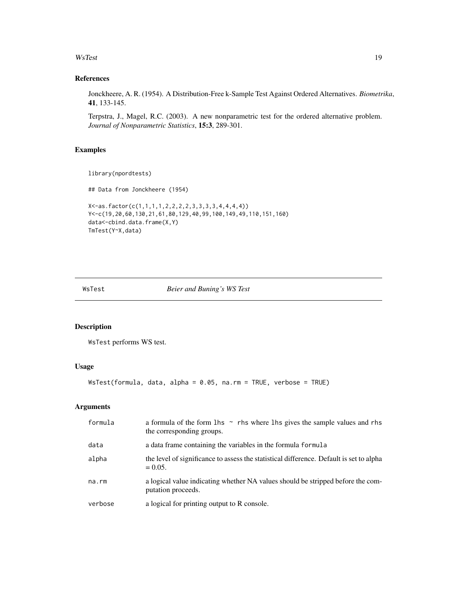#### <span id="page-18-0"></span>WsTest 19

#### References

Jonckheere, A. R. (1954). A Distribution-Free k-Sample Test Against Ordered Alternatives. *Biometrika*, 41, 133-145.

Terpstra, J., Magel, R.C. (2003). A new nonparametric test for the ordered alternative problem. *Journal of Nonparametric Statistics*, 15:3, 289-301.

#### Examples

```
library(npordtests)
```
## Data from Jonckheere (1954)

```
X<-as.factor(c(1,1,1,1,2,2,2,2,3,3,3,3,4,4,4,4))
Y<-c(19,20,60,130,21,61,80,129,40,99,100,149,49,110,151,160)
data<-cbind.data.frame(X,Y)
TmTest(Y~X,data)
```
#### WsTest *Beier and Buning's WS Test*

#### Description

WsTest performs WS test.

## Usage

```
WsTest(formula, data, alpha = 0.05, na.rm = TRUE, verbose = TRUE)
```

| formula | a formula of the form 1 hs $\sim$ rhs where 1 hs gives the sample values and rhs<br>the corresponding groups. |
|---------|---------------------------------------------------------------------------------------------------------------|
| data    | a data frame containing the variables in the formula formula                                                  |
| alpha   | the level of significance to assess the statistical difference. Default is set to alpha<br>$= 0.05.$          |
| na.rm   | a logical value indicating whether NA values should be stripped before the com-<br>putation proceeds.         |
| verbose | a logical for printing output to R console.                                                                   |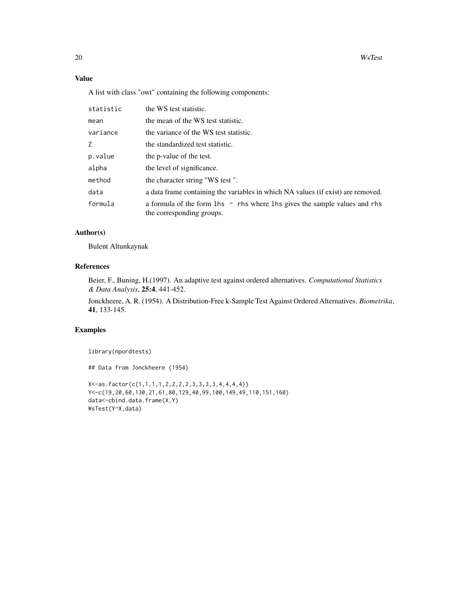## Value

A list with class "owt" containing the following components:

| statistic | the WS test statistic.                                                                                            |
|-----------|-------------------------------------------------------------------------------------------------------------------|
| mean      | the mean of the WS test statistic.                                                                                |
| variance  | the variance of the WS test statistic.                                                                            |
| Z         | the standardized test statistic.                                                                                  |
| p.value   | the p-value of the test.                                                                                          |
| alpha     | the level of significance.                                                                                        |
| method    | the character string "WS test".                                                                                   |
| data      | a data frame containing the variables in which NA values (if exist) are removed.                                  |
| formula   | a formula of the form $\ln s \sim$ rhs where $\ln s$ gives the sample values and rhs<br>the corresponding groups. |

#### Author(s)

Bulent Altunkaynak

#### References

Beier, F., Buning, H.(1997). An adaptive test against ordered alternatives. *Computational Statistics & Data Analysis*, 25:4, 441-452.

Jonckheere, A. R. (1954). A Distribution-Free k-Sample Test Against Ordered Alternatives. *Biometrika*, 41, 133-145.

#### Examples

library(npordtests)

```
X<-as.factor(c(1,1,1,1,2,2,2,2,3,3,3,3,4,4,4,4))
Y<-c(19,20,60,130,21,61,80,129,40,99,100,149,49,110,151,160)
data<-cbind.data.frame(X,Y)
WsTest(Y~X,data)
```